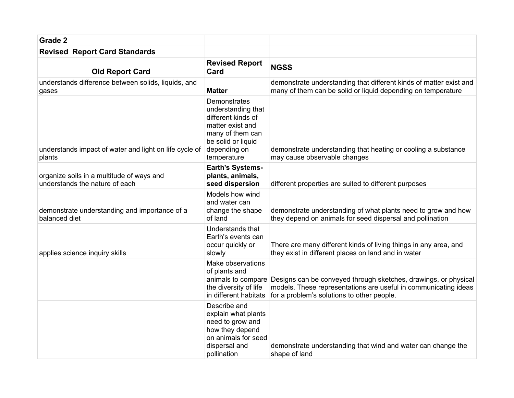| Grade 2                                                                     |                                                                                                                                                       |                                                                                                                                                                                                     |
|-----------------------------------------------------------------------------|-------------------------------------------------------------------------------------------------------------------------------------------------------|-----------------------------------------------------------------------------------------------------------------------------------------------------------------------------------------------------|
| <b>Revised Report Card Standards</b>                                        |                                                                                                                                                       |                                                                                                                                                                                                     |
| <b>Old Report Card</b>                                                      | <b>Revised Report</b><br>Card                                                                                                                         | <b>NGSS</b>                                                                                                                                                                                         |
| understands difference between solids, liquids, and<br>gases                | <b>Matter</b>                                                                                                                                         | demonstrate understanding that different kinds of matter exist and<br>many of them can be solid or liquid depending on temperature                                                                  |
| understands impact of water and light on life cycle of<br>plants            | Demonstrates<br>understanding that<br>different kinds of<br>matter exist and<br>many of them can<br>be solid or liquid<br>depending on<br>temperature | demonstrate understanding that heating or cooling a substance<br>may cause observable changes                                                                                                       |
| organize soils in a multitude of ways and<br>understands the nature of each | <b>Earth's Systems-</b><br>plants, animals,<br>seed dispersion                                                                                        | different properties are suited to different purposes                                                                                                                                               |
| demonstrate understanding and importance of a<br>balanced diet              | Models how wind<br>and water can<br>change the shape<br>of land                                                                                       | demonstrate understanding of what plants need to grow and how<br>they depend on animals for seed dispersal and pollination                                                                          |
| applies science inquiry skills                                              | Understands that<br>Earth's events can<br>occur quickly or<br>slowly                                                                                  | There are many different kinds of living things in any area, and<br>they exist in different places on land and in water                                                                             |
|                                                                             | Make observations<br>of plants and<br>the diversity of life<br>in different habitats                                                                  | animals to compare Designs can be conveyed through sketches, drawings, or physical<br>models. These representations are useful in communicating ideas<br>for a problem's solutions to other people. |
|                                                                             | Describe and<br>explain what plants<br>need to grow and<br>how they depend<br>on animals for seed<br>dispersal and<br>pollination                     | demonstrate understanding that wind and water can change the<br>shape of land                                                                                                                       |